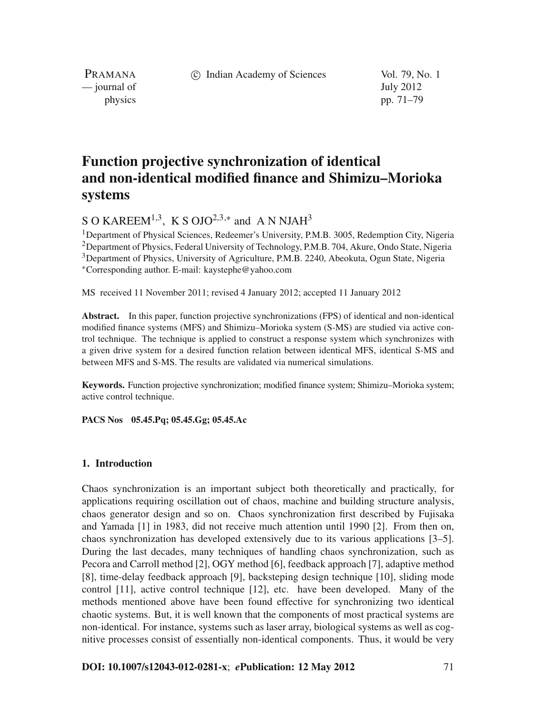c Indian Academy of Sciences Vol. 79, No. 1

PRAMANA — journal of July 2012

physics pp. 71–79

# **Function projective synchronization of identical and non-identical modified finance and Shimizu–Morioka systems**

S O KAREEM<sup>1,3</sup>, K S OJO<sup>2,3,\*</sup> and A N NJAH<sup>3</sup>

<sup>1</sup>Department of Physical Sciences, Redeemer's University, P.M.B. 3005, Redemption City, Nigeria 2Department of Physics, Federal University of Technology, P.M.B. 704, Akure, Ondo State, Nigeria 3Department of Physics, University of Agriculture, P.M.B. 2240, Abeokuta, Ogun State, Nigeria <sup>∗</sup>Corresponding author. E-mail: kaystephe@yahoo.com

MS received 11 November 2011; revised 4 January 2012; accepted 11 January 2012

**Abstract.** In this paper, function projective synchronizations (FPS) of identical and non-identical modified finance systems (MFS) and Shimizu–Morioka system (S-MS) are studied via active control technique. The technique is applied to construct a response system which synchronizes with a given drive system for a desired function relation between identical MFS, identical S-MS and between MFS and S-MS. The results are validated via numerical simulations.

**Keywords.** Function projective synchronization; modified finance system; Shimizu–Morioka system; active control technique.

**PACS Nos 05.45.Pq; 05.45.Gg; 05.45.Ac**

# **1. Introduction**

Chaos synchronization is an important subject both theoretically and practically, for applications requiring oscillation out of chaos, machine and building structure analysis, chaos generator design and so on. Chaos synchronization first described by Fujisaka and Yamada [1] in 1983, did not receive much attention until 1990 [2]. From then on, chaos synchronization has developed extensively due to its various applications [3–5]. During the last decades, many techniques of handling chaos synchronization, such as Pecora and Carroll method [2], OGY method [6], feedback approach [7], adaptive method [8], time-delay feedback approach [9], backsteping design technique [10], sliding mode control [11], active control technique [12], etc. have been developed. Many of the methods mentioned above have been found effective for synchronizing two identical chaotic systems. But, it is well known that the components of most practical systems are non-identical. For instance, systems such as laser array, biological systems as well as cognitive processes consist of essentially non-identical components. Thus, it would be very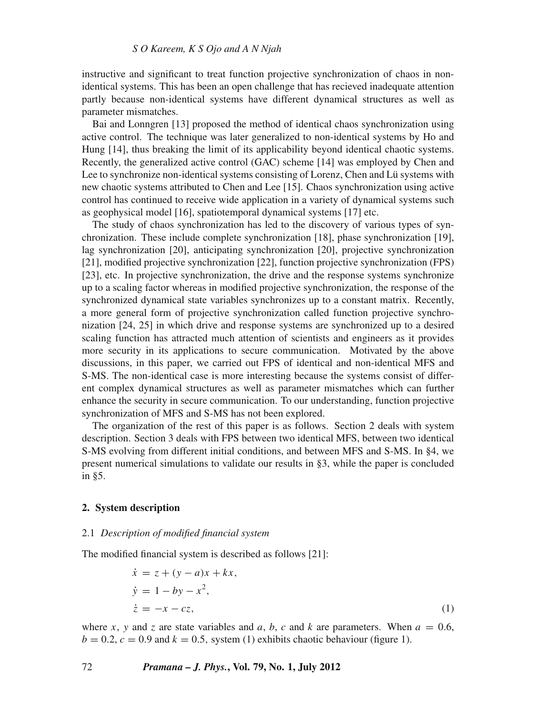instructive and significant to treat function projective synchronization of chaos in nonidentical systems. This has been an open challenge that has recieved inadequate attention partly because non-identical systems have different dynamical structures as well as parameter mismatches.

Bai and Lonngren [13] proposed the method of identical chaos synchronization using active control. The technique was later generalized to non-identical systems by Ho and Hung [14], thus breaking the limit of its applicability beyond identical chaotic systems. Recently, the generalized active control (GAC) scheme [14] was employed by Chen and Lee to synchronize non-identical systems consisting of Lorenz, Chen and Lü systems with new chaotic systems attributed to Chen and Lee [15]. Chaos synchronization using active control has continued to receive wide application in a variety of dynamical systems such as geophysical model [16], spatiotemporal dynamical systems [17] etc.

The study of chaos synchronization has led to the discovery of various types of synchronization. These include complete synchronization [18], phase synchronization [19], lag synchronization [20], anticipating synchronization [20], projective synchronization [21], modified projective synchronization [22], function projective synchronization (FPS) [23], etc. In projective synchronization, the drive and the response systems synchronize up to a scaling factor whereas in modified projective synchronization, the response of the synchronized dynamical state variables synchronizes up to a constant matrix. Recently, a more general form of projective synchronization called function projective synchronization [24, 25] in which drive and response systems are synchronized up to a desired scaling function has attracted much attention of scientists and engineers as it provides more security in its applications to secure communication. Motivated by the above discussions, in this paper, we carried out FPS of identical and non-identical MFS and S-MS. The non-identical case is more interesting because the systems consist of different complex dynamical structures as well as parameter mismatches which can further enhance the security in secure communication. To our understanding, function projective synchronization of MFS and S-MS has not been explored.

The organization of the rest of this paper is as follows. Section 2 deals with system description. Section 3 deals with FPS between two identical MFS, between two identical S-MS evolving from different initial conditions, and between MFS and S-MS. In §4, we present numerical simulations to validate our results in §3, while the paper is concluded in §5.

#### **2. System description**

#### 2.1 *Description of modified financial system*

The modified financial system is described as follows [21]:

$$
\begin{aligned}\n\dot{x} &= z + (y - a)x + kx, \\
\dot{y} &= 1 - by - x^2, \\
\dot{z} &= -x - cz,\n\end{aligned} \tag{1}
$$

where *x*, *y* and *z* are state variables and *a*, *b*, *c* and *k* are parameters. When  $a = 0.6$ ,  $b = 0.2$ ,  $c = 0.9$  and  $k = 0.5$ , system (1) exhibits chaotic behaviour (figure 1).

#### 72 *Pramana – J. Phys.***, Vol. 79, No. 1, July 2012**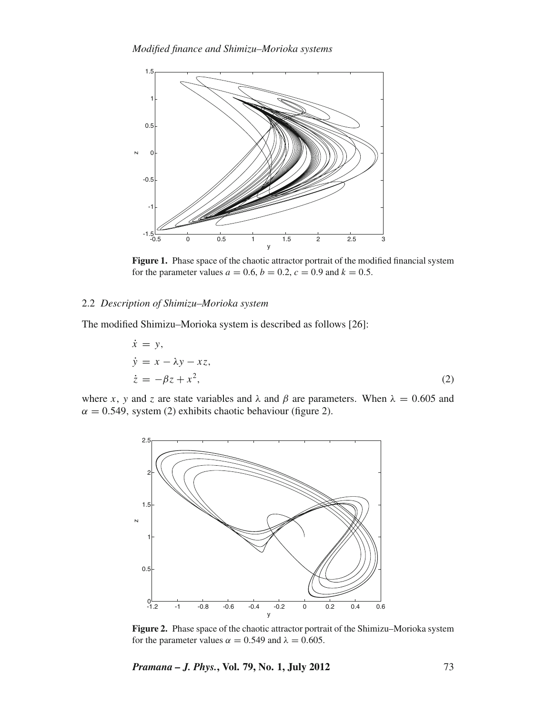

**Figure 1.** Phase space of the chaotic attractor portrait of the modified financial system for the parameter values  $a = 0.6$ ,  $b = 0.2$ ,  $c = 0.9$  and  $k = 0.5$ .

# 2.2 *Description of Shimizu–Morioka system*

The modified Shimizu–Morioka system is described as follows [26]:

$$
\begin{aligned}\n\dot{x} &= y, \\
\dot{y} &= x - \lambda y - xz, \\
\dot{z} &= -\beta z + x^2,\n\end{aligned}
$$
\n(2)

where *x*, *y* and *z* are state variables and  $\lambda$  and  $\beta$  are parameters. When  $\lambda = 0.605$  and  $\alpha = 0.549$ , system (2) exhibits chaotic behaviour (figure 2).



**Figure 2.** Phase space of the chaotic attractor portrait of the Shimizu–Morioka system for the parameter values  $\alpha = 0.549$  and  $\lambda = 0.605$ .

*Pramana – J. Phys.***, Vol. 79, No. 1, July 2012** 73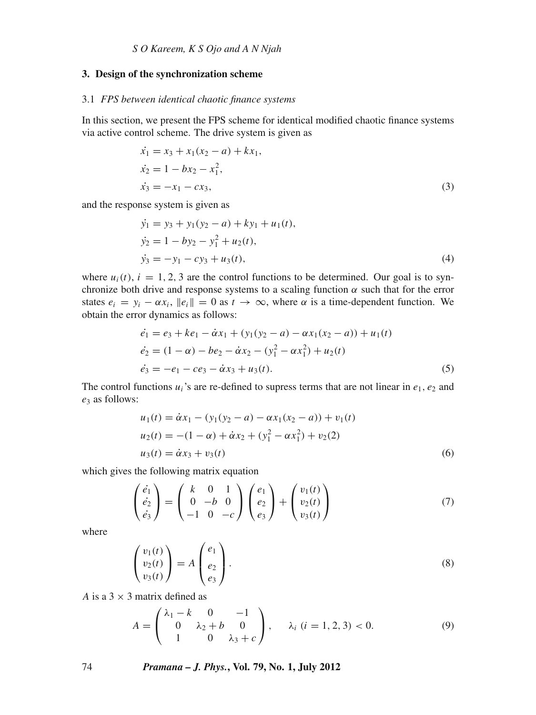#### **3. Design of the synchronization scheme**

#### 3.1 *FPS between identical chaotic finance systems*

In this section, we present the FPS scheme for identical modified chaotic finance systems via active control scheme. The drive system is given as

$$
\begin{aligned}\n\dot{x}_1 &= x_3 + x_1(x_2 - a) + kx_1, \\
\dot{x}_2 &= 1 - bx_2 - x_1^2, \\
\dot{x}_3 &= -x_1 - cx_3,\n\end{aligned} \tag{3}
$$

and the response system is given as

$$
\begin{aligned}\n\dot{y}_1 &= y_3 + y_1(y_2 - a) + ky_1 + u_1(t), \\
\dot{y}_2 &= 1 - by_2 - y_1^2 + u_2(t), \\
\dot{y}_3 &= -y_1 - cy_3 + u_3(t),\n\end{aligned} \tag{4}
$$

where  $u_i(t)$ ,  $i = 1, 2, 3$  are the control functions to be determined. Our goal is to synchronize both drive and response systems to a scaling function  $\alpha$  such that for the error states  $e_i = y_i - \alpha x_i$ ,  $||e_i|| = 0$  as  $t \to \infty$ , where  $\alpha$  is a time-dependent function. We obtain the error dynamics as follows:

$$
\begin{aligned}\n\dot{e}_1 &= e_3 + ke_1 - \dot{\alpha}x_1 + (y_1(y_2 - a) - \alpha x_1(x_2 - a)) + u_1(t) \\
\dot{e}_2 &= (1 - \alpha) - be_2 - \dot{\alpha}x_2 - (y_1^2 - \alpha x_1^2) + u_2(t) \\
\dot{e}_3 &= -e_1 - ce_3 - \dot{\alpha}x_3 + u_3(t).\n\end{aligned} \tag{5}
$$

The control functions  $u_i$ 's are re-defined to supress terms that are not linear in  $e_1, e_2$  and *e*<sup>3</sup> as follows:

$$
u_1(t) = \dot{\alpha}x_1 - (y_1(y_2 - a) - \alpha x_1(x_2 - a)) + v_1(t)
$$
  
\n
$$
u_2(t) = -(1 - \alpha) + \dot{\alpha}x_2 + (y_1^2 - \alpha x_1^2) + v_2(2)
$$
  
\n
$$
u_3(t) = \dot{\alpha}x_3 + v_3(t)
$$
\n(6)

which gives the following matrix equation

$$
\begin{pmatrix} \dot{e}_1 \\ \dot{e}_2 \\ \dot{e}_3 \end{pmatrix} = \begin{pmatrix} k & 0 & 1 \\ 0 & -b & 0 \\ -1 & 0 & -c \end{pmatrix} \begin{pmatrix} e_1 \\ e_2 \\ e_3 \end{pmatrix} + \begin{pmatrix} v_1(t) \\ v_2(t) \\ v_3(t) \end{pmatrix}
$$
(7)

where

$$
\begin{pmatrix} v_1(t) \\ v_2(t) \\ v_3(t) \end{pmatrix} = A \begin{pmatrix} e_1 \\ e_2 \\ e_3 \end{pmatrix} . \tag{8}
$$

*A* is a  $3 \times 3$  matrix defined as

$$
A = \begin{pmatrix} \lambda_1 - k & 0 & -1 \\ 0 & \lambda_2 + b & 0 \\ 1 & 0 & \lambda_3 + c \end{pmatrix}, \quad \lambda_i \ (i = 1, 2, 3) < 0. \tag{9}
$$

74 *Pramana – J. Phys.***, Vol. 79, No. 1, July 2012**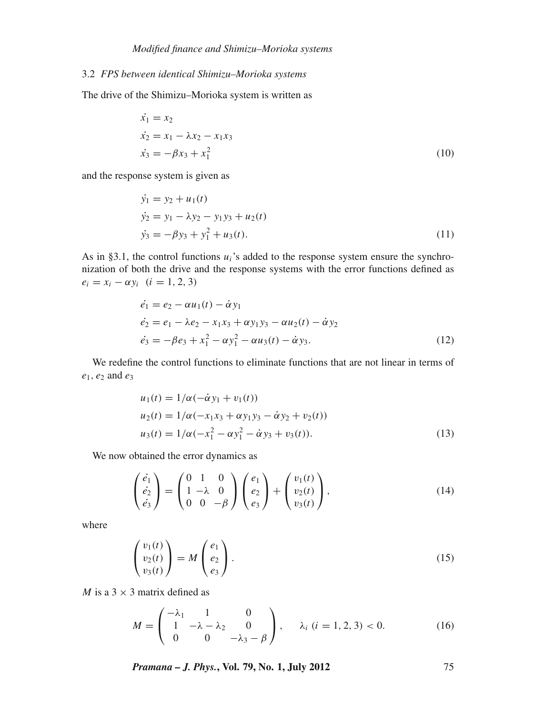# 3.2 *FPS between identical Shimizu–Morioka systems*

The drive of the Shimizu–Morioka system is written as

$$
\begin{aligned}\n\dot{x}_1 &= x_2\\ \n\dot{x}_2 &= x_1 - \lambda x_2 - x_1 x_3\\ \n\dot{x}_3 &= -\beta x_3 + x_1^2\n\end{aligned} \tag{10}
$$

and the response system is given as

$$
\begin{aligned}\n\dot{y}_1 &= y_2 + u_1(t) \\
\dot{y}_2 &= y_1 - \lambda y_2 - y_1 y_3 + u_2(t) \\
\dot{y}_3 &= -\beta y_3 + y_1^2 + u_3(t).\n\end{aligned} \tag{11}
$$

As in §3.1, the control functions  $u_i$ 's added to the response system ensure the synchronization of both the drive and the response systems with the error functions defined as  $e_i = x_i - \alpha y_i$  (*i* = 1, 2, 3)

$$
\dot{e}_1 = e_2 - \alpha u_1(t) - \dot{\alpha} y_1 \n\dot{e}_2 = e_1 - \lambda e_2 - x_1 x_3 + \alpha y_1 y_3 - \alpha u_2(t) - \dot{\alpha} y_2 \n\dot{e}_3 = -\beta e_3 + x_1^2 - \alpha y_1^2 - \alpha u_3(t) - \dot{\alpha} y_3.
$$
\n(12)

We redefine the control functions to eliminate functions that are not linear in terms of *e*1, *e*<sup>2</sup> and *e*<sup>3</sup>

$$
u_1(t) = 1/\alpha(-\dot{\alpha}y_1 + v_1(t))
$$
  
\n
$$
u_2(t) = 1/\alpha(-x_1x_3 + \alpha y_1y_3 - \dot{\alpha}y_2 + v_2(t))
$$
  
\n
$$
u_3(t) = 1/\alpha(-x_1^2 - \alpha y_1^2 - \dot{\alpha}y_3 + v_3(t)).
$$
\n(13)

We now obtained the error dynamics as

$$
\begin{pmatrix}\n\dot{e}_1 \\
\dot{e}_2 \\
\dot{e}_3\n\end{pmatrix} = \begin{pmatrix}\n0 & 1 & 0 \\
1 & -\lambda & 0 \\
0 & 0 & -\beta\n\end{pmatrix} \begin{pmatrix}\ne_1 \\
e_2 \\
e_3\n\end{pmatrix} + \begin{pmatrix}\nv_1(t) \\
v_2(t) \\
v_3(t)\n\end{pmatrix},
$$
\n(14)

where

$$
\begin{pmatrix} v_1(t) \\ v_2(t) \\ v_3(t) \end{pmatrix} = M \begin{pmatrix} e_1 \\ e_2 \\ e_3 \end{pmatrix}.
$$
 (15)

*M* is a  $3 \times 3$  matrix defined as

$$
M = \begin{pmatrix} -\lambda_1 & 1 & 0 \\ 1 & -\lambda - \lambda_2 & 0 \\ 0 & 0 & -\lambda_3 - \beta \end{pmatrix}, \quad \lambda_i \ (i = 1, 2, 3) < 0. \tag{16}
$$

*Pramana – J. Phys.***, Vol. 79, No. 1, July 2012** 75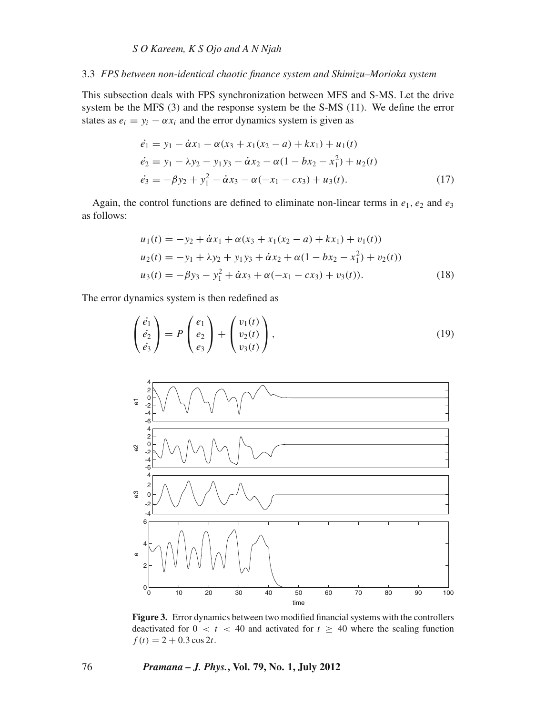# *S O Kareem, K S Ojo and A N Njah*

#### 3.3 *FPS between non-identical chaotic finance system and Shimizu–Morioka system*

This subsection deals with FPS synchronization between MFS and S-MS. Let the drive system be the MFS (3) and the response system be the S-MS (11). We define the error states as  $e_i = y_i - \alpha x_i$  and the error dynamics system is given as

$$
\begin{aligned}\n\dot{e}_1 &= y_1 - \dot{\alpha} x_1 - \alpha (x_3 + x_1(x_2 - a) + kx_1) + u_1(t) \\
\dot{e}_2 &= y_1 - \lambda y_2 - y_1 y_3 - \dot{\alpha} x_2 - \alpha (1 - bx_2 - x_1^2) + u_2(t) \\
\dot{e}_3 &= -\beta y_2 + y_1^2 - \dot{\alpha} x_3 - \alpha (-x_1 - cx_3) + u_3(t).\n\end{aligned} \tag{17}
$$

Again, the control functions are defined to eliminate non-linear terms in  $e_1$ ,  $e_2$  and  $e_3$ as follows:

$$
u_1(t) = -y_2 + \dot{\alpha}x_1 + \alpha(x_3 + x_1(x_2 - a) + kx_1) + v_1(t)
$$
  
\n
$$
u_2(t) = -y_1 + \lambda y_2 + y_1 y_3 + \dot{\alpha}x_2 + \alpha(1 - bx_2 - x_1^2) + v_2(t))
$$
  
\n
$$
u_3(t) = -\beta y_3 - y_1^2 + \dot{\alpha}x_3 + \alpha(-x_1 - cx_3) + v_3(t)).
$$
\n(18)

The error dynamics system is then redefined as

$$
\begin{pmatrix} \dot{e}_1 \\ \dot{e}_2 \\ \dot{e}_3 \end{pmatrix} = P \begin{pmatrix} e_1 \\ e_2 \\ e_3 \end{pmatrix} + \begin{pmatrix} v_1(t) \\ v_2(t) \\ v_3(t) \end{pmatrix}, \tag{19}
$$



**Figure 3.** Error dynamics between two modified financial systems with the controllers deactivated for  $0 < t < 40$  and activated for  $t \geq 40$  where the scaling function  $f(t) = 2 + 0.3 \cos 2t$ .

## 76 *Pramana – J. Phys.***, Vol. 79, No. 1, July 2012**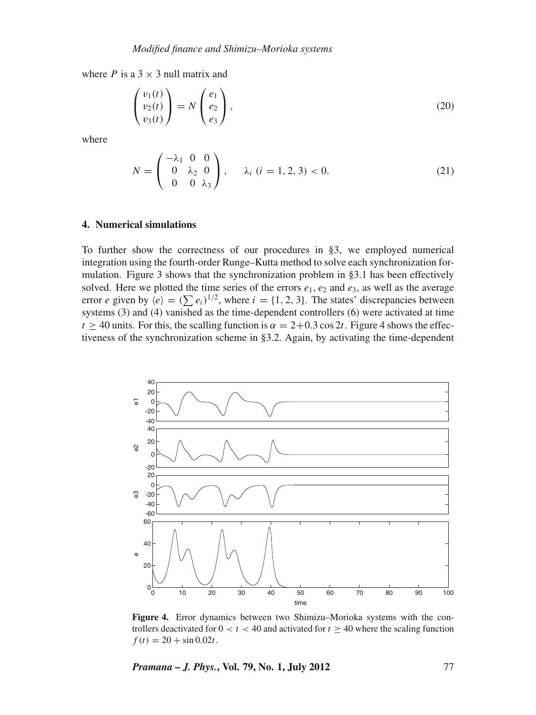where *P* is a  $3 \times 3$  null matrix and

$$
\begin{pmatrix} v_1(t) \\ v_2(t) \\ v_3(t) \end{pmatrix} = N \begin{pmatrix} e_1 \\ e_2 \\ e_3 \end{pmatrix},
$$
\n(20)

where

$$
N = \begin{pmatrix} -\lambda_1 & 0 & 0 \\ 0 & \lambda_2 & 0 \\ 0 & 0 & \lambda_3 \end{pmatrix}, \quad \lambda_i \ (i = 1, 2, 3) < 0. \tag{21}
$$

# **4. Numerical simulations**

To further show the correctness of our procedures in §3, we employed numerical integration using the fourth-order Runge–Kutta method to solve each synchronization formulation. Figure 3 shows that the synchronization problem in §3.1 has been effectively solved. Here we plotted the time series of the errors  $e_1, e_2$  and  $e_3$ , as well as the average error *e* given by  $\langle e \rangle = (\sum e_i)^{1/2}$ , where  $i = \{1, 2, 3\}$ . The states' discrepancies between systems (3) and (4) vanished as the time-dependent controllers (6) were activated at time  $t \ge 40$  units. For this, the scalling function is  $\alpha = 2+0.3 \cos 2t$ . Figure 4 shows the effectiveness of the synchronization scheme in §3.2. Again, by activating the time-dependent



**Figure 4.** Error dynamics between two Shimizu–Morioka systems with the controllers deactivated for  $0 < t < 40$  and activated for  $t \ge 40$  where the scaling function  $f(t) = 20 + \sin 0.02t$ .

*Pramana – J. Phys.***, Vol. 79, No. 1, July 2012** 77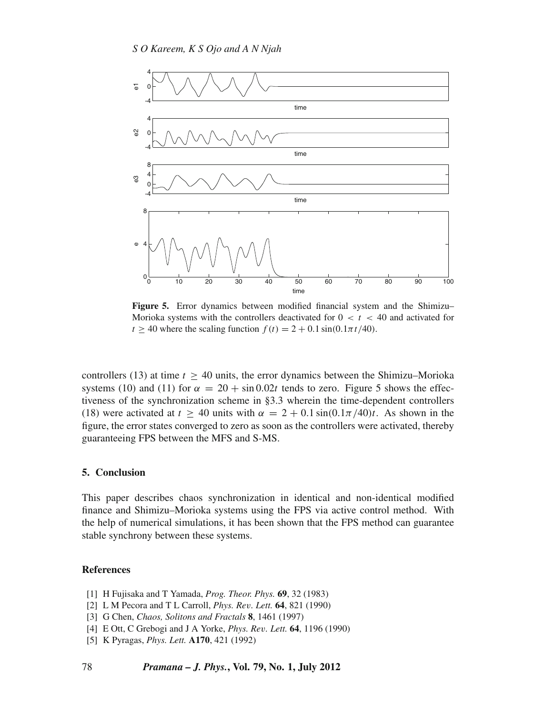

**Figure 5.** Error dynamics between modified financial system and the Shimizu– Morioka systems with the controllers deactivated for  $0 < t < 40$  and activated for  $t > 40$  where the scaling function  $f(t) = 2 + 0.1 \sin(0.1\pi t/40)$ .

controllers (13) at time  $t > 40$  units, the error dynamics between the Shimizu–Morioka systems (10) and (11) for  $\alpha = 20 + \sin 0.02t$  tends to zero. Figure 5 shows the effectiveness of the synchronization scheme in §3.3 wherein the time-dependent controllers (18) were activated at  $t \geq 40$  units with  $\alpha = 2 + 0.1 \sin(0.1\pi/40)t$ . As shown in the figure, the error states converged to zero as soon as the controllers were activated, thereby guaranteeing FPS between the MFS and S-MS.

#### **5. Conclusion**

This paper describes chaos synchronization in identical and non-identical modified finance and Shimizu–Morioka systems using the FPS via active control method. With the help of numerical simulations, it has been shown that the FPS method can guarantee stable synchrony between these systems.

## **References**

- [1] H Fujisaka and T Yamada, *Prog. Theor. Phys.* **69**, 32 (1983)
- [2] L M Pecora and T L Carroll, *Phys. Re*v*. Lett.* **64**, 821 (1990)
- [3] G Chen, *Chaos, Solitons and Fractals* **8**, 1461 (1997)
- [4] E Ott, C Grebogi and J A Yorke, *Phys. Re*v*. Lett.* **64**, 1196 (1990)
- [5] K Pyragas, *Phys. Lett.* **A170**, 421 (1992)